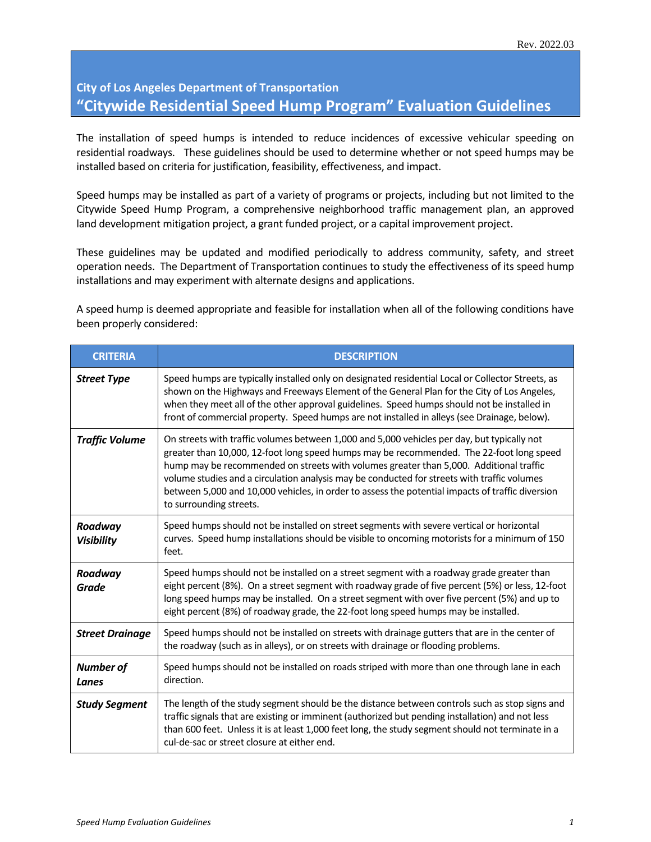## **City of Los Angeles Department of Transportation "Citywide Residential Speed Hump Program" Evaluation Guidelines**

The installation of speed humps is intended to reduce incidences of excessive vehicular speeding on residential roadways. These guidelines should be used to determine whether or not speed humps may be installed based on criteria for justification, feasibility, effectiveness, and impact.

Speed humps may be installed as part of a variety of programs or projects, including but not limited to the Citywide Speed Hump Program, a comprehensive neighborhood traffic management plan, an approved land development mitigation project, a grant funded project, or a capital improvement project.

These guidelines may be updated and modified periodically to address community, safety, and street operation needs. The Department of Transportation continues to study the effectiveness of its speed hump installations and may experiment with alternate designs and applications.

A speed hump is deemed appropriate and feasible for installation when all of the following conditions have been properly considered:

| <b>CRITERIA</b>              | <b>DESCRIPTION</b>                                                                                                                                                                                                                                                                                                                                                                                                                                                                                              |
|------------------------------|-----------------------------------------------------------------------------------------------------------------------------------------------------------------------------------------------------------------------------------------------------------------------------------------------------------------------------------------------------------------------------------------------------------------------------------------------------------------------------------------------------------------|
| <b>Street Type</b>           | Speed humps are typically installed only on designated residential Local or Collector Streets, as<br>shown on the Highways and Freeways Element of the General Plan for the City of Los Angeles,<br>when they meet all of the other approval guidelines. Speed humps should not be installed in<br>front of commercial property. Speed humps are not installed in alleys (see Drainage, below).                                                                                                                 |
| <b>Traffic Volume</b>        | On streets with traffic volumes between 1,000 and 5,000 vehicles per day, but typically not<br>greater than 10,000, 12-foot long speed humps may be recommended. The 22-foot long speed<br>hump may be recommended on streets with volumes greater than 5,000. Additional traffic<br>volume studies and a circulation analysis may be conducted for streets with traffic volumes<br>between 5,000 and 10,000 vehicles, in order to assess the potential impacts of traffic diversion<br>to surrounding streets. |
| Roadway<br><b>Visibility</b> | Speed humps should not be installed on street segments with severe vertical or horizontal<br>curves. Speed hump installations should be visible to oncoming motorists for a minimum of 150<br>feet.                                                                                                                                                                                                                                                                                                             |
| Roadway<br>Grade             | Speed humps should not be installed on a street segment with a roadway grade greater than<br>eight percent (8%). On a street segment with roadway grade of five percent (5%) or less, 12-foot<br>long speed humps may be installed. On a street segment with over five percent (5%) and up to<br>eight percent (8%) of roadway grade, the 22-foot long speed humps may be installed.                                                                                                                            |
| <b>Street Drainage</b>       | Speed humps should not be installed on streets with drainage gutters that are in the center of<br>the roadway (such as in alleys), or on streets with drainage or flooding problems.                                                                                                                                                                                                                                                                                                                            |
| <b>Number of</b><br>Lanes    | Speed humps should not be installed on roads striped with more than one through lane in each<br>direction.                                                                                                                                                                                                                                                                                                                                                                                                      |
| <b>Study Segment</b>         | The length of the study segment should be the distance between controls such as stop signs and<br>traffic signals that are existing or imminent (authorized but pending installation) and not less<br>than 600 feet. Unless it is at least 1,000 feet long, the study segment should not terminate in a<br>cul-de-sac or street closure at either end.                                                                                                                                                          |